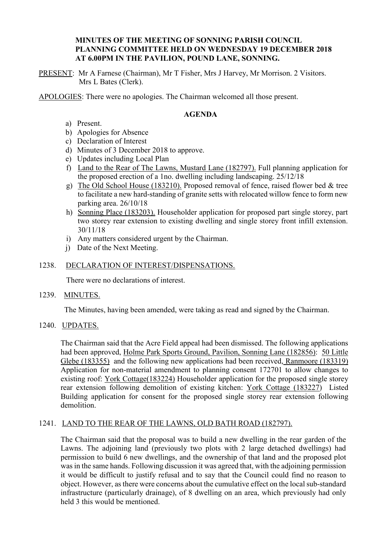## **MINUTES OF THE MEETING OF SONNING PARISH COUNCIL PLANNING COMMITTEE HELD ON WEDNESDAY 19 DECEMBER 2018 AT 6.00PM IN THE PAVILION, POUND LANE, SONNING.**

PRESENT: Mr A Farnese (Chairman), Mr T Fisher, Mrs J Harvey, Mr Morrison. 2 Visitors. Mrs L Bates (Clerk).

APOLOGIES: There were no apologies. The Chairman welcomed all those present.

## **AGENDA**

- a) Present.
- b) Apologies for Absence
- c) Declaration of Interest
- d) Minutes of 3 December 2018 to approve.
- e) Updates including Local Plan
- f) Land to the Rear of The Lawns, Mustard Lane (182797). Full planning application for the proposed erection of a 1no. dwelling including landscaping. 25/12/18
- g) The Old School House (183210). Proposed removal of fence, raised flower bed & tree to facilitate a new hard-standing of granite setts with relocated willow fence to form new parking area. 26/10/18
- h) Sonning Place (183203). Householder application for proposed part single storey, part two storey rear extension to existing dwelling and single storey front infill extension. 30/11/18
- i) Any matters considered urgent by the Chairman.
- j) Date of the Next Meeting.

#### 1238. DECLARATION OF INTEREST/DISPENSATIONS.

There were no declarations of interest.

1239. MINUTES.

The Minutes, having been amended, were taking as read and signed by the Chairman.

### 1240. UPDATES.

The Chairman said that the Acre Field appeal had been dismissed. The following applications had been approved, Holme Park Sports Ground, Pavilion, Sonning Lane (182856): 50 Little Glebe (183355) and the following new applications had been received, Ranmoore (183319) Application for non-material amendment to planning consent 172701 to allow changes to existing roof: York Cottage(183224) Householder application for the proposed single storey rear extension following demolition of existing kitchen: York Cottage (183227) Listed Building application for consent for the proposed single storey rear extension following demolition.

### 1241. LAND TO THE REAR OF THE LAWNS, OLD BATH ROAD (182797).

The Chairman said that the proposal was to build a new dwelling in the rear garden of the Lawns. The adjoining land (previously two plots with 2 large detached dwellings) had permission to build 6 new dwellings, and the ownership of that land and the proposed plot was in the same hands. Following discussion it was agreed that, with the adjoining permission it would be difficult to justify refusal and to say that the Council could find no reason to object. However, as there were concerns about the cumulative effect on the local sub-standard infrastructure (particularly drainage), of 8 dwelling on an area, which previously had only held 3 this would be mentioned.